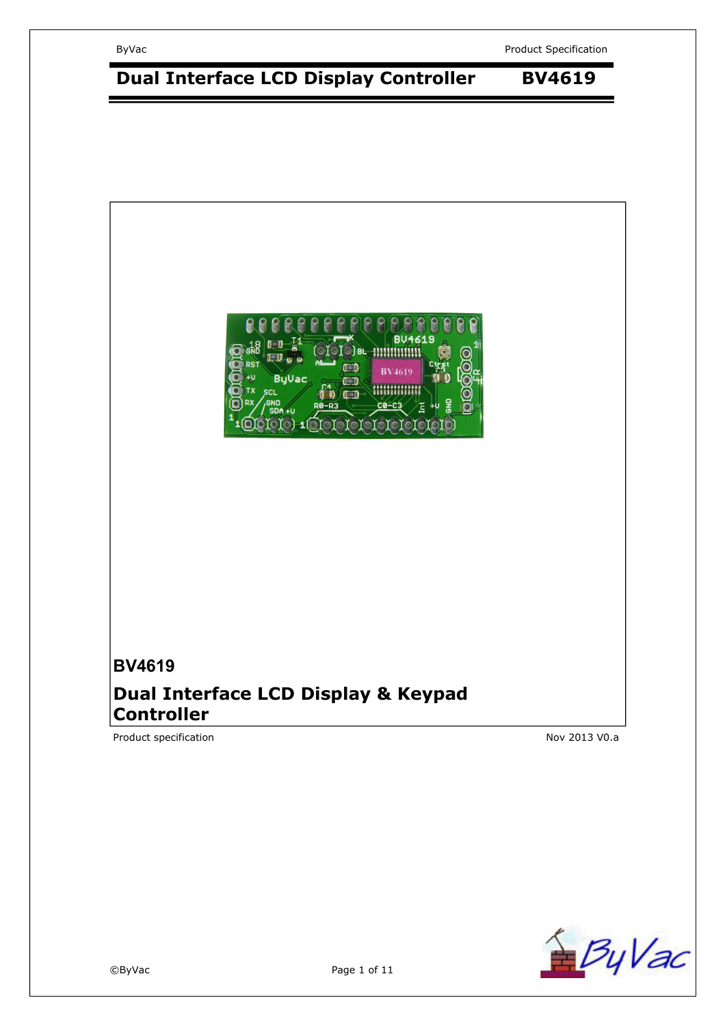ByVac **Product Specification** 



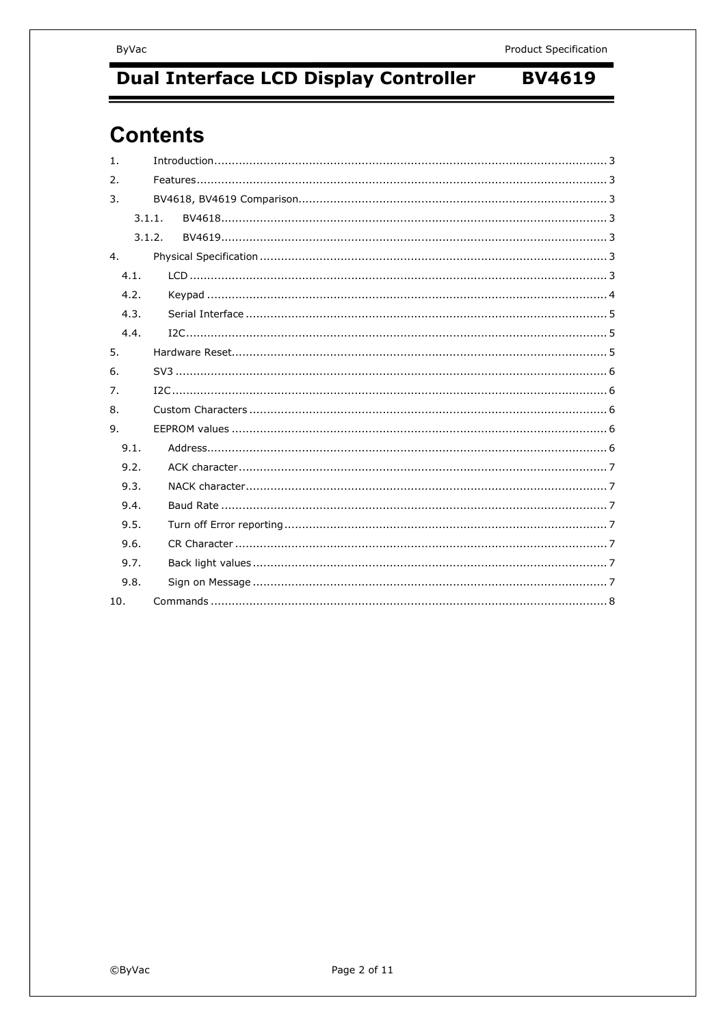# **Contents**

| $\mathbf{1}$ .  |        |  |  |
|-----------------|--------|--|--|
| $\mathcal{P}$ . |        |  |  |
| 3.              |        |  |  |
|                 | 3.1.1. |  |  |
|                 | 3.1.2. |  |  |
| 4.              |        |  |  |
| 4.1.            |        |  |  |
| 4.2.            |        |  |  |
| 4.3.            |        |  |  |
| 4.4.            |        |  |  |
| 5.              |        |  |  |
| 6.              |        |  |  |
| 7.              |        |  |  |
| 8.              |        |  |  |
| 9.              |        |  |  |
| 9.1.            |        |  |  |
| 9.2.            |        |  |  |
| 9.3.            |        |  |  |
| 9.4.            |        |  |  |
| 9.5.            |        |  |  |
| 9.6.            |        |  |  |
| 9.7.            |        |  |  |
| 9.8.            |        |  |  |
| 10.             |        |  |  |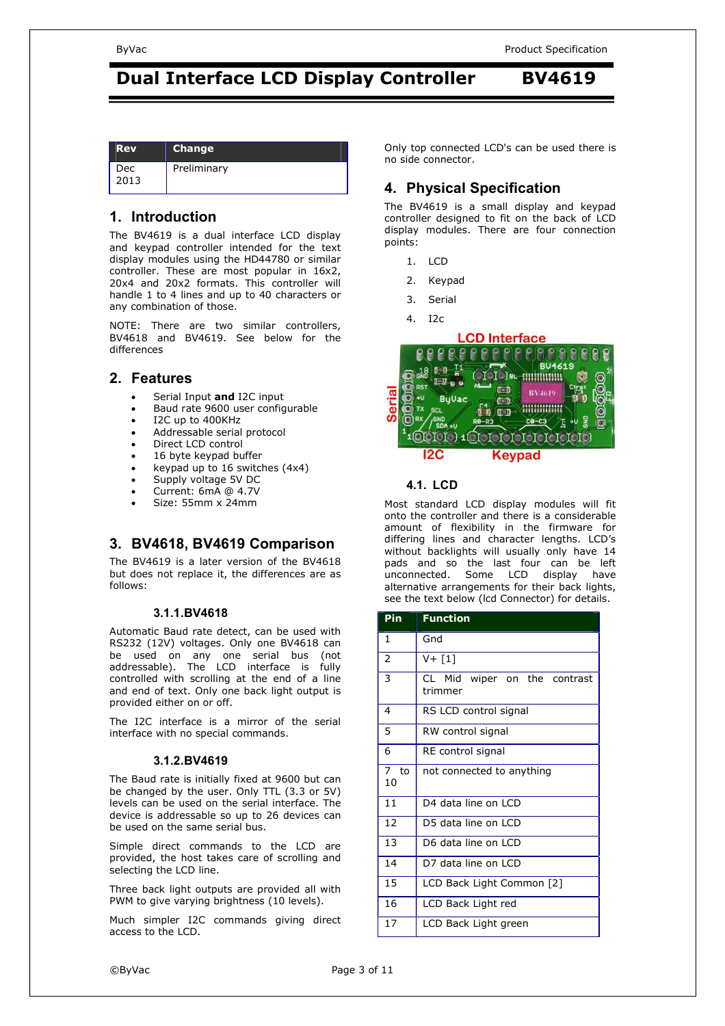| <b>Rev</b>  | <b>Change</b> |
|-------------|---------------|
| Dec<br>2013 | Preliminary   |

#### **1. Introduction**

The BV4619 is a dual interface LCD display and keypad controller intended for the text display modules using the HD44780 or similar controller. These are most popular in 16x2, 20x4 and 20x2 formats. This controller will handle 1 to 4 lines and up to 40 characters or any combination of those.

NOTE: There are two similar controllers, BV4618 and BV4619. See below for the differences

#### **2. Features**

- Serial Input **and** I2C input
- Baud rate 9600 user configurable
- I2C up to 400KHz
- Addressable serial protocol
- Direct LCD control
- 16 byte keypad buffer
- keypad up to 16 switches (4x4)
- Supply voltage 5V DC
- Current: 6mA @ 4.7V
- Size: 55mm x 24mm

### **3. BV4618, BV4619 Comparison**

The BV4619 is a later version of the BV4618 but does not replace it, the differences are as follows:

#### **3.1.1. BV4618**

Automatic Baud rate detect, can be used with RS232 (12V) voltages. Only one BV4618 can be used on any one serial bus (not addressable). The LCD interface is fully controlled with scrolling at the end of a line and end of text. Only one back light output is provided either on or off.

The I2C interface is a mirror of the serial interface with no special commands.

#### **3.1.2. BV4619**

The Baud rate is initially fixed at 9600 but can be changed by the user. Only TTL (3.3 or 5V) levels can be used on the serial interface. The device is addressable so up to 26 devices can be used on the same serial bus.

Simple direct commands to the LCD are provided, the host takes care of scrolling and selecting the LCD line.

Three back light outputs are provided all with PWM to give varying brightness (10 levels).

Much simpler I2C commands giving direct access to the LCD.

Only top connected LCD's can be used there is no side connector.

### **4. Physical Specification**

The BV4619 is a small display and keypad controller designed to fit on the back of LCD display modules. There are four connection points:

- 1. LCD
- 2. Keypad
- 3. Serial
- 4. I2c



#### **4.1. LCD**

Most standard LCD display modules will fit onto the controller and there is a considerable amount of flexibility in the firmware for differing lines and character lengths. LCD's without backlights will usually only have 14 pads and so the last four can be left unconnected. Some LCD display have alternative arrangements for their back lights, see the text below (lcd Connector) for details.

| Pin           | <b>Function</b>                         |  |  |
|---------------|-----------------------------------------|--|--|
| 1             | Gnd                                     |  |  |
| 2             | $V + [1]$                               |  |  |
| 3             | CL Mid wiper on the contrast<br>trimmer |  |  |
| 4             | RS LCD control signal                   |  |  |
| 5             | RW control signal                       |  |  |
| 6             | RE control signal                       |  |  |
| 7<br>to<br>10 | not connected to anything               |  |  |
| 11            | D4 data line on LCD                     |  |  |
| 12            | D5 data line on LCD                     |  |  |
| 13            | D6 data line on LCD                     |  |  |
| 14            | D7 data line on LCD                     |  |  |
| 15            | LCD Back Light Common [2]               |  |  |
| 16            | LCD Back Light red                      |  |  |
| 17            | LCD Back Light green                    |  |  |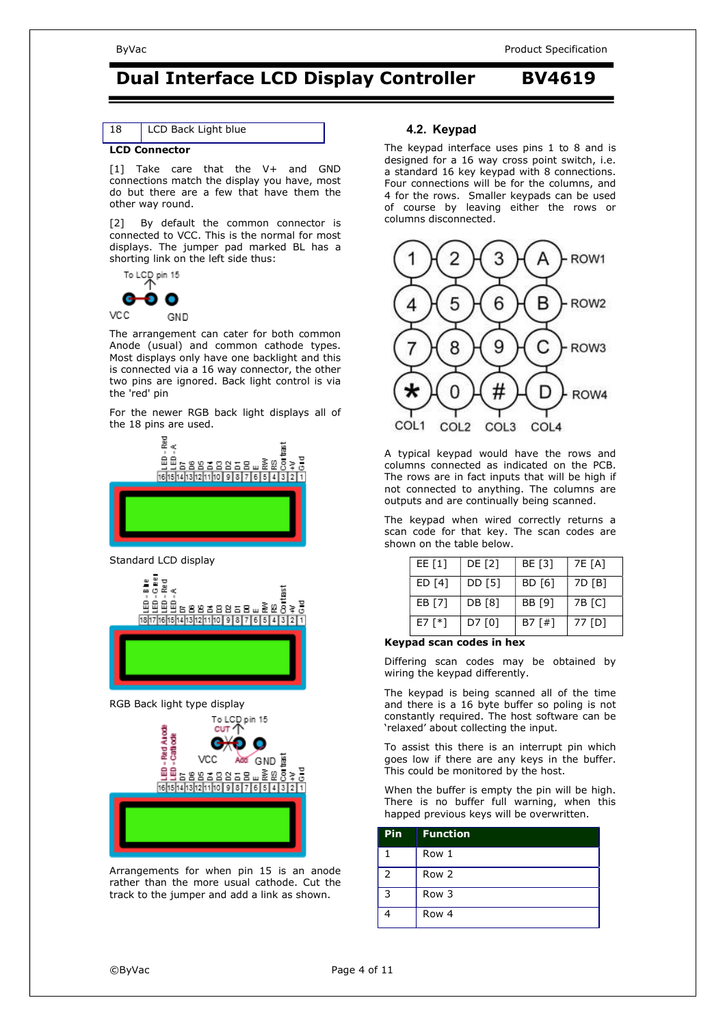| 18 | LCD Back Light blue |  |  |
|----|---------------------|--|--|
|----|---------------------|--|--|

#### **LCD Connector**

[1] Take care that the V+ and GND connections match the display you have, most do but there are a few that have them the other way round.

[2] By default the common connector is connected to VCC. This is the normal for most displays. The jumper pad marked BL has a shorting link on the left side thus:



The arrangement can cater for both common Anode (usual) and common cathode types. Most displays only have one backlight and this is connected via a 16 way connector, the other two pins are ignored. Back light control is via the 'red' pin

For the newer RGB back light displays all of the 18 pins are used.



Standard LCD display



RGB Back light type display



Arrangements for when pin 15 is an anode rather than the more usual cathode. Cut the track to the jumper and add a link as shown.

#### **4.2. Keypad**

The keypad interface uses pins 1 to 8 and is designed for a 16 way cross point switch, i.e. a standard 16 key keypad with 8 connections. Four connections will be for the columns, and 4 for the rows. Smaller keypads can be used of course by leaving either the rows or columns disconnected.



A typical keypad would have the rows and columns connected as indicated on the PCB. The rows are in fact inputs that will be high if not connected to anything. The columns are outputs and are continually being scanned.

The keypad when wired correctly returns a scan code for that key. The scan codes are shown on the table below.

| EE $[1]$   | DE [2] | BE [3]   | 7E [A] |
|------------|--------|----------|--------|
| ED [4]     | DD [5] | BD [6]   | 7D [B] |
| EB [7]     | DB [8] | BB [9]   | 7B [C] |
| E7 $[Y^*]$ | D7 [0] | B7 $f#1$ | 77 [D] |

#### **Keypad scan codes in hex**

Differing scan codes may be obtained by wiring the keypad differently.

The keypad is being scanned all of the time and there is a 16 byte buffer so poling is not constantly required. The host software can be 'relaxed' about collecting the input.

To assist this there is an interrupt pin which goes low if there are any keys in the buffer. This could be monitored by the host.

When the buffer is empty the pin will be high. There is no buffer full warning, when this happed previous keys will be overwritten.

| <b>Pin</b> | <b>Function</b> |
|------------|-----------------|
|            | Row 1           |
| 2          | Row 2           |
| 3          | Row 3           |
|            | Row 4           |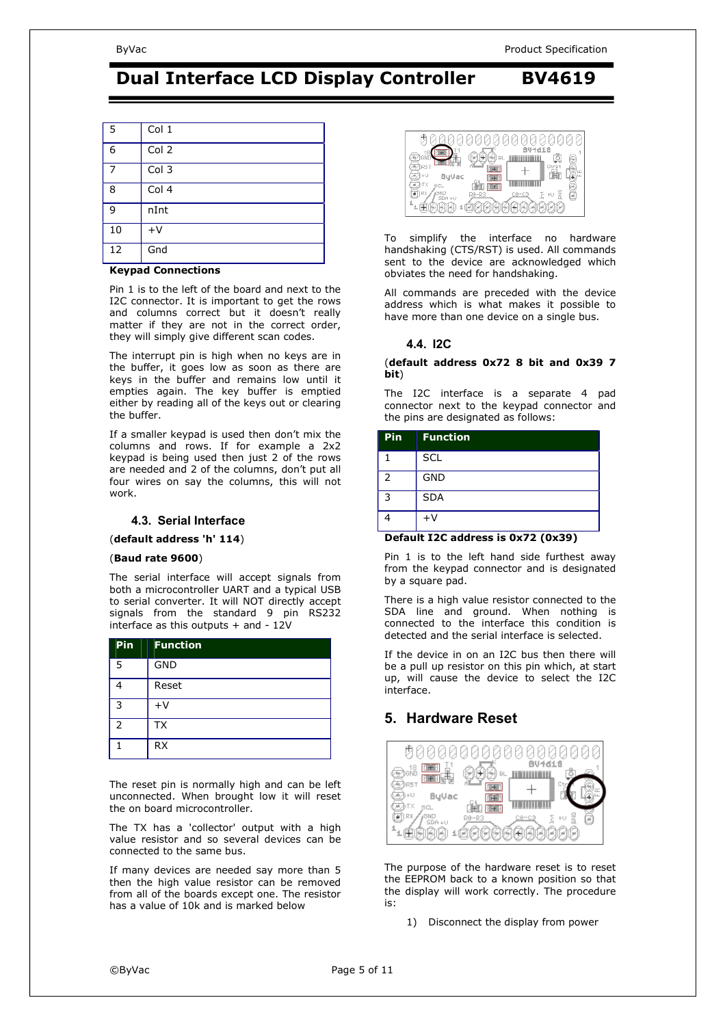#### ByVac **Product Specification** Service Specification Specification Specification Specification

## **Dual Interface LCD Display Controller BV4619**

| .5     | Col <sub>1</sub>     |
|--------|----------------------|
| 6      | Col 2                |
|        | Col <sub>3</sub>     |
| 8      | Col <sub>4</sub>     |
| 9      | nInt                 |
| $10\,$ | $+V$                 |
| 12     | Gnd                  |
|        | $\sim$ $\sim$<br>. . |

#### **Keypad Connections**

Pin 1 is to the left of the board and next to the I2C connector. It is important to get the rows and columns correct but it doesn't really matter if they are not in the correct order, they will simply give different scan codes.

The interrupt pin is high when no keys are in the buffer, it goes low as soon as there are keys in the buffer and remains low until it empties again. The key buffer is emptied either by reading all of the keys out or clearing the buffer.

If a smaller keypad is used then don't mix the columns and rows. If for example a 2x2 keypad is being used then just 2 of the rows are needed and 2 of the columns, don't put all four wires on say the columns, this will not work.

#### **4.3. Serial Interface**

(**default address 'h' 114**)

#### (**Baud rate 9600**)

The serial interface will accept signals from both a microcontroller UART and a typical USB to serial converter. It will NOT directly accept signals from the standard 9 pin RS232 interface as this outputs + and - 12V

| Pin | <b>Function</b> |
|-----|-----------------|
| 5   | <b>GND</b>      |
|     | Reset           |
| 3   | $+V$            |
| 2   | <b>TX</b>       |
|     | <b>RX</b>       |

The reset pin is normally high and can be left unconnected. When brought low it will reset the on board microcontroller.

The TX has a 'collector' output with a high value resistor and so several devices can be connected to the same bus.

If many devices are needed say more than 5 then the high value resistor can be removed from all of the boards except one. The resistor has a value of 10k and is marked below



To simplify the interface no hardware handshaking (CTS/RST) is used. All commands sent to the device are acknowledged which obviates the need for handshaking.

All commands are preceded with the device address which is what makes it possible to have more than one device on a single bus.

#### **4.4. I2C**

#### (**default address 0x72 8 bit and 0x39 7 bit**)

The I2C interface is a separate 4 pad connector next to the keypad connector and the pins are designated as follows:

| <b>Pin</b> | <b>Function</b> |
|------------|-----------------|
|            | <b>SCL</b>      |
| 2          | <b>GND</b>      |
| ঽ          | <b>SDA</b>      |
|            | $+V$            |

#### **Default I2C address is 0x72 (0x39)**

Pin 1 is to the left hand side furthest away from the keypad connector and is designated by a square pad.

There is a high value resistor connected to the SDA line and ground. When nothing is connected to the interface this condition is detected and the serial interface is selected.

If the device in on an I2C bus then there will be a pull up resistor on this pin which, at start up, will cause the device to select the I2C interface.

### **5. Hardware Reset**



The purpose of the hardware reset is to reset the EEPROM back to a known position so that the display will work correctly. The procedure is:

1) Disconnect the display from power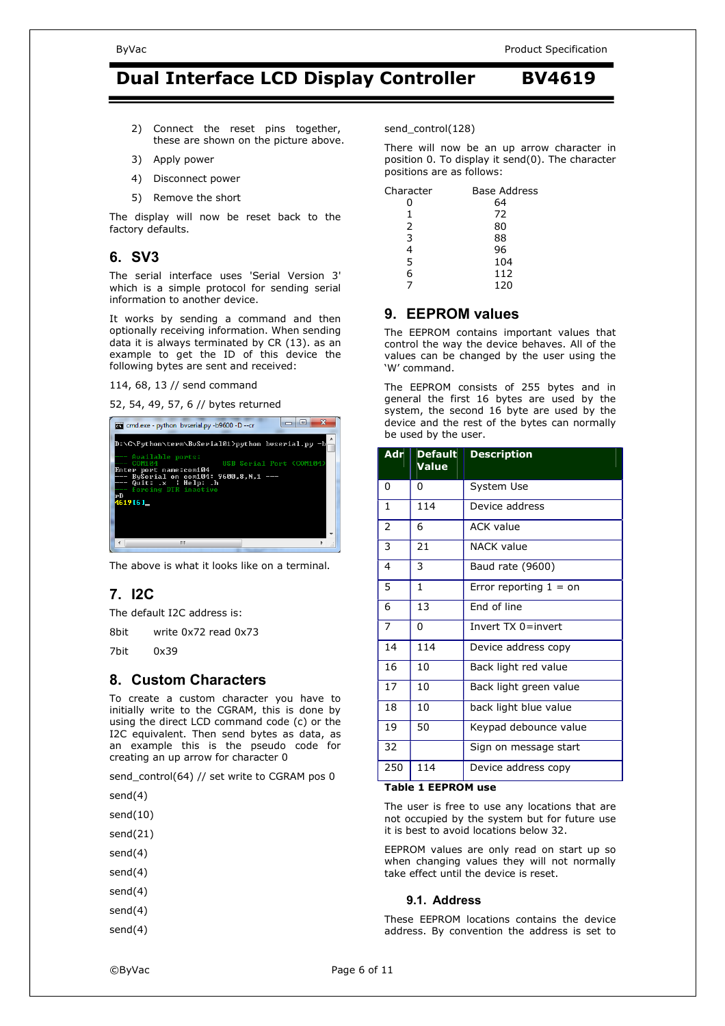- 2) Connect the reset pins together, these are shown on the picture above.
- 3) Apply power
- 4) Disconnect power
- 5) Remove the short

The display will now be reset back to the factory defaults.

#### **6. SV3**

The serial interface uses 'Serial Version 3' which is a simple protocol for sending serial information to another device.

It works by sending a command and then optionally receiving information. When sending data it is always terminated by CR (13). as an example to get the ID of this device the following bytes are sent and received:

114, 68, 13 // send command

52, 54, 49, 57, 6 // bytes returned



The above is what it looks like on a terminal.

### **7. I2C**

The default I2C address is:

8bit write 0x72 read 0x73

7bit 0x39

#### **8. Custom Characters**

To create a custom character you have to initially write to the CGRAM, this is done by using the direct LCD command code (c) or the I2C equivalent. Then send bytes as data, as an example this is the pseudo code for creating an up arrow for character 0

send\_control(64) // set write to CGRAM pos 0

send(4)

- send(10)
- send(21)
- send(4)

send(4)

- send(4)
- send(4)

send(4)

There will now be an up arrow character in position 0. To display it send(0). The character positions are as follows:

| Character | <b>Base Address</b> |
|-----------|---------------------|
| 0         | 64                  |
| 1         | 72                  |
| 2         | 80                  |
| 3         | 88                  |
| 4         | 96                  |
| 5         | 104                 |
| 6         | 112                 |
|           | 120                 |

### **9. EEPROM values**

The EEPROM contains important values that control the way the device behaves. All of the values can be changed by the user using the 'W' command.

The EEPROM consists of 255 bytes and in general the first 16 bytes are used by the system, the second 16 byte are used by the device and the rest of the bytes can normally be used by the user.

| <b>Adr</b>     | <b>Default</b><br>Value | <b>Description</b>       |
|----------------|-------------------------|--------------------------|
| 0              | 0                       | System Use               |
| $\mathbf{1}$   | 114                     | Device address           |
| 2              | 6                       | <b>ACK value</b>         |
| 3              | 21                      | NACK value               |
| $\overline{4}$ | 3                       | Baud rate (9600)         |
| 5              | 1                       | Error reporting $1 =$ on |
| 6              | 13                      | End of line              |
| $\overline{7}$ | 0                       | Invert TX 0=invert       |
| 14             | 114                     | Device address copy      |
| 16             | 10                      | Back light red value     |
| 17             | 10                      | Back light green value   |
| 18             | 10                      | back light blue value    |
| 19             | 50                      | Keypad debounce value    |
| 32             |                         | Sign on message start    |
| 250            | 114                     | Device address copy      |

#### **Table 1 EEPROM use**

The user is free to use any locations that are not occupied by the system but for future use it is best to avoid locations below 32.

EEPROM values are only read on start up so when changing values they will not normally take effect until the device is reset.

#### **9.1. Address**

These EEPROM locations contains the device address. By convention the address is set to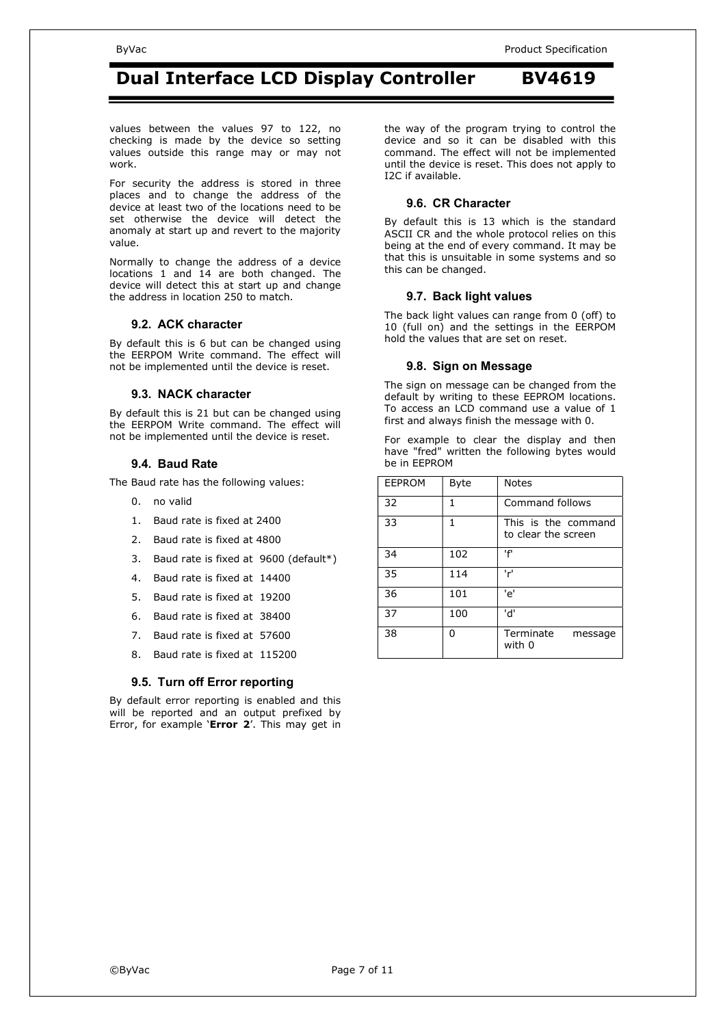values between the values 97 to 122, no checking is made by the device so setting values outside this range may or may not work.

For security the address is stored in three places and to change the address of the device at least two of the locations need to be set otherwise the device will detect the anomaly at start up and revert to the majority value.

Normally to change the address of a device locations 1 and 14 are both changed. The device will detect this at start up and change the address in location 250 to match.

#### **9.2. ACK character**

By default this is 6 but can be changed using the EERPOM Write command. The effect will not be implemented until the device is reset.

#### **9.3. NACK character**

By default this is 21 but can be changed using the EERPOM Write command. The effect will not be implemented until the device is reset.

#### **9.4. Baud Rate**

The Baud rate has the following values:

- 0. no valid
- 1. Baud rate is fixed at 2400
- 2. Baud rate is fixed at 4800
- 3. Baud rate is fixed at 9600 (default\*)
- 4. Baud rate is fixed at 14400
- 5. Baud rate is fixed at 19200
- 6. Baud rate is fixed at 38400
- 7. Baud rate is fixed at 57600
- 8. Baud rate is fixed at 115200

#### **9.5. Turn off Error reporting**

By default error reporting is enabled and this will be reported and an output prefixed by Error, for example '**Error 2**'. This may get in the way of the program trying to control the device and so it can be disabled with this command. The effect will not be implemented until the device is reset. This does not apply to I2C if available.

#### **9.6. CR Character**

By default this is 13 which is the standard ASCII CR and the whole protocol relies on this being at the end of every command. It may be that this is unsuitable in some systems and so this can be changed.

#### **9.7. Back light values**

The back light values can range from 0 (off) to 10 (full on) and the settings in the EERPOM hold the values that are set on reset.

#### **9.8. Sign on Message**

The sign on message can be changed from the default by writing to these EEPROM locations. To access an LCD command use a value of 1 first and always finish the message with 0.

For example to clear the display and then have "fred" written the following bytes would be in EEPROM

| <b>EEPROM</b> | Byte | <b>Notes</b>                               |
|---------------|------|--------------------------------------------|
| 32            | 1    | Command follows                            |
| 33            | 1    | This is the command<br>to clear the screen |
| 34            | 102  | ١f١                                        |
| 35            | 114  | 'r'                                        |
| 36            | 101  | 'e'                                        |
| 37            | 100  | 'd'                                        |
| 38            | 0    | Terminate<br>message<br>with 0             |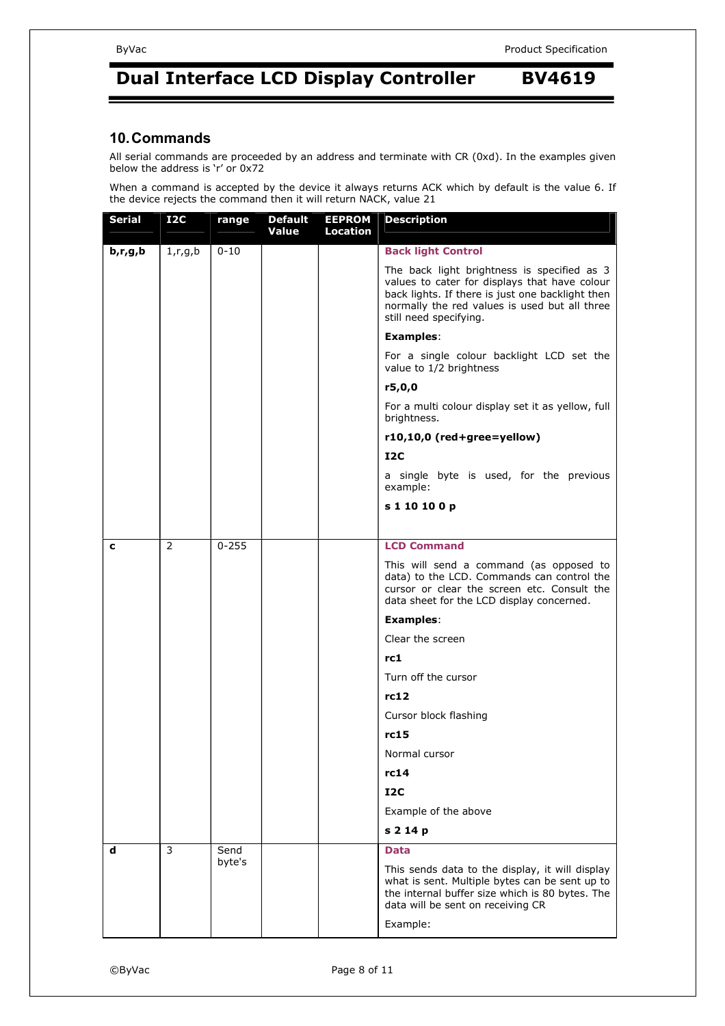#### **10. Commands**

All serial commands are proceeded by an address and terminate with CR (0xd). In the examples given below the address is 'r' or 0x72

When a command is accepted by the device it always returns ACK which by default is the value 6. If the device rejects the command then it will return NACK, value 21

| <b>Serial</b> | <b>I2C</b> | range          | <b>Default</b><br>Value | <b>EEPROM</b><br><b>Location</b> | <b>Description</b>                                                                                                                                                                                                          |
|---------------|------------|----------------|-------------------------|----------------------------------|-----------------------------------------------------------------------------------------------------------------------------------------------------------------------------------------------------------------------------|
| b, r, g, b    | 1, r, g, b | $0 - 10$       |                         |                                  | <b>Back light Control</b>                                                                                                                                                                                                   |
|               |            |                |                         |                                  | The back light brightness is specified as 3<br>values to cater for displays that have colour<br>back lights. If there is just one backlight then<br>normally the red values is used but all three<br>still need specifying. |
|               |            |                |                         |                                  | <b>Examples:</b>                                                                                                                                                                                                            |
|               |            |                |                         |                                  | For a single colour backlight LCD set the<br>value to 1/2 brightness                                                                                                                                                        |
|               |            |                |                         |                                  | r5,0,0                                                                                                                                                                                                                      |
|               |            |                |                         |                                  | For a multi colour display set it as yellow, full<br>brightness.                                                                                                                                                            |
|               |            |                |                         |                                  | r10,10,0 (red+gree=yellow)                                                                                                                                                                                                  |
|               |            |                |                         |                                  | I2C                                                                                                                                                                                                                         |
|               |            |                |                         |                                  | a single byte is used, for the previous<br>example:                                                                                                                                                                         |
|               |            |                |                         |                                  | s 1 10 10 0 p                                                                                                                                                                                                               |
|               |            |                |                         |                                  |                                                                                                                                                                                                                             |
| c             | 2          | $0 - 255$      |                         |                                  | <b>LCD Command</b>                                                                                                                                                                                                          |
|               |            |                |                         |                                  | This will send a command (as opposed to<br>data) to the LCD. Commands can control the<br>cursor or clear the screen etc. Consult the<br>data sheet for the LCD display concerned.                                           |
|               |            |                |                         |                                  | <b>Examples:</b>                                                                                                                                                                                                            |
|               |            |                |                         |                                  | Clear the screen                                                                                                                                                                                                            |
|               |            |                |                         |                                  | rc1                                                                                                                                                                                                                         |
|               |            |                |                         |                                  | Turn off the cursor                                                                                                                                                                                                         |
|               |            |                |                         |                                  | rc12                                                                                                                                                                                                                        |
|               |            |                |                         |                                  | Cursor block flashing                                                                                                                                                                                                       |
|               |            |                |                         |                                  | rc15                                                                                                                                                                                                                        |
|               |            |                |                         |                                  | Normal cursor                                                                                                                                                                                                               |
|               |            |                |                         |                                  | rc14                                                                                                                                                                                                                        |
|               |            |                |                         |                                  | $_{\rm I2C}$                                                                                                                                                                                                                |
|               |            |                |                         |                                  | Example of the above                                                                                                                                                                                                        |
|               |            |                |                         |                                  | s 2 14 p                                                                                                                                                                                                                    |
| d             | 3          | Send<br>byte's |                         |                                  | <b>Data</b>                                                                                                                                                                                                                 |
|               |            |                |                         |                                  | This sends data to the display, it will display<br>what is sent. Multiple bytes can be sent up to<br>the internal buffer size which is 80 bytes. The<br>data will be sent on receiving CR                                   |
|               |            |                |                         |                                  | Example:                                                                                                                                                                                                                    |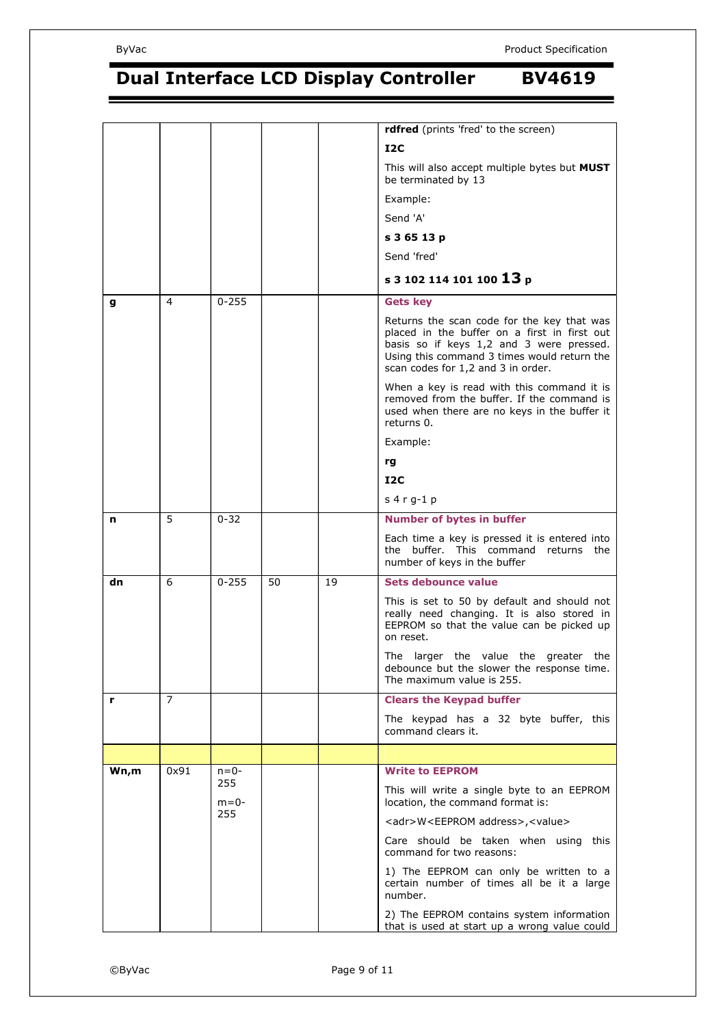|      |      |                  |    |    | rdfred (prints 'fred' to the screen)                                                                                                                                                                                        |
|------|------|------------------|----|----|-----------------------------------------------------------------------------------------------------------------------------------------------------------------------------------------------------------------------------|
|      |      |                  |    |    | 12C                                                                                                                                                                                                                         |
|      |      |                  |    |    | This will also accept multiple bytes but MUST<br>be terminated by 13                                                                                                                                                        |
|      |      |                  |    |    | Example:                                                                                                                                                                                                                    |
|      |      |                  |    |    | Send 'A'                                                                                                                                                                                                                    |
|      |      |                  |    |    | s 3 65 13 p                                                                                                                                                                                                                 |
|      |      |                  |    |    | Send 'fred'                                                                                                                                                                                                                 |
|      |      |                  |    |    | s 3 102 114 101 100 13 p                                                                                                                                                                                                    |
| g    | 4    | $0 - 255$        |    |    | <b>Gets key</b>                                                                                                                                                                                                             |
|      |      |                  |    |    | Returns the scan code for the key that was<br>placed in the buffer on a first in first out<br>basis so if keys 1,2 and 3 were pressed.<br>Using this command 3 times would return the<br>scan codes for 1,2 and 3 in order. |
|      |      |                  |    |    | When a key is read with this command it is<br>removed from the buffer. If the command is<br>used when there are no keys in the buffer it<br>returns 0.                                                                      |
|      |      |                  |    |    | Example:                                                                                                                                                                                                                    |
|      |      |                  |    |    | rg                                                                                                                                                                                                                          |
|      |      |                  |    |    | 12C                                                                                                                                                                                                                         |
|      |      |                  |    |    | $s$ 4 r g-1 p                                                                                                                                                                                                               |
| n    | 5    | $0 - 32$         |    |    | <b>Number of bytes in buffer</b>                                                                                                                                                                                            |
|      |      |                  |    |    | Each time a key is pressed it is entered into<br>the buffer. This command returns the<br>number of keys in the buffer                                                                                                       |
| dn   | 6    | $0 - 255$        | 50 | 19 | Sets debounce value                                                                                                                                                                                                         |
|      |      |                  |    |    | This is set to 50 by default and should not<br>really need changing. It is also stored in<br>EEPROM so that the value can be picked up<br>on reset.                                                                         |
|      |      |                  |    |    | The larger the value the greater the<br>debounce but the slower the response time.<br>The maximum value is 255.                                                                                                             |
| r    | 7    |                  |    |    | <b>Clears the Keypad buffer</b>                                                                                                                                                                                             |
|      |      |                  |    |    | The keypad has a 32 byte buffer, this<br>command clears it.                                                                                                                                                                 |
|      |      |                  |    |    |                                                                                                                                                                                                                             |
| Wn,m | 0x91 | $n = 0 -$<br>255 |    |    | <b>Write to EEPROM</b>                                                                                                                                                                                                      |
|      |      | $m = 0-$         |    |    | This will write a single byte to an EEPROM<br>location, the command format is:                                                                                                                                              |
|      |      | 255              |    |    | <adr>W<eeprom address="">,<value></value></eeprom></adr>                                                                                                                                                                    |
|      |      |                  |    |    | Care should be taken when using this<br>command for two reasons:                                                                                                                                                            |
|      |      |                  |    |    | 1) The EEPROM can only be written to a<br>certain number of times all be it a large<br>number.                                                                                                                              |
|      |      |                  |    |    | 2) The EEPROM contains system information<br>that is used at start up a wrong value could                                                                                                                                   |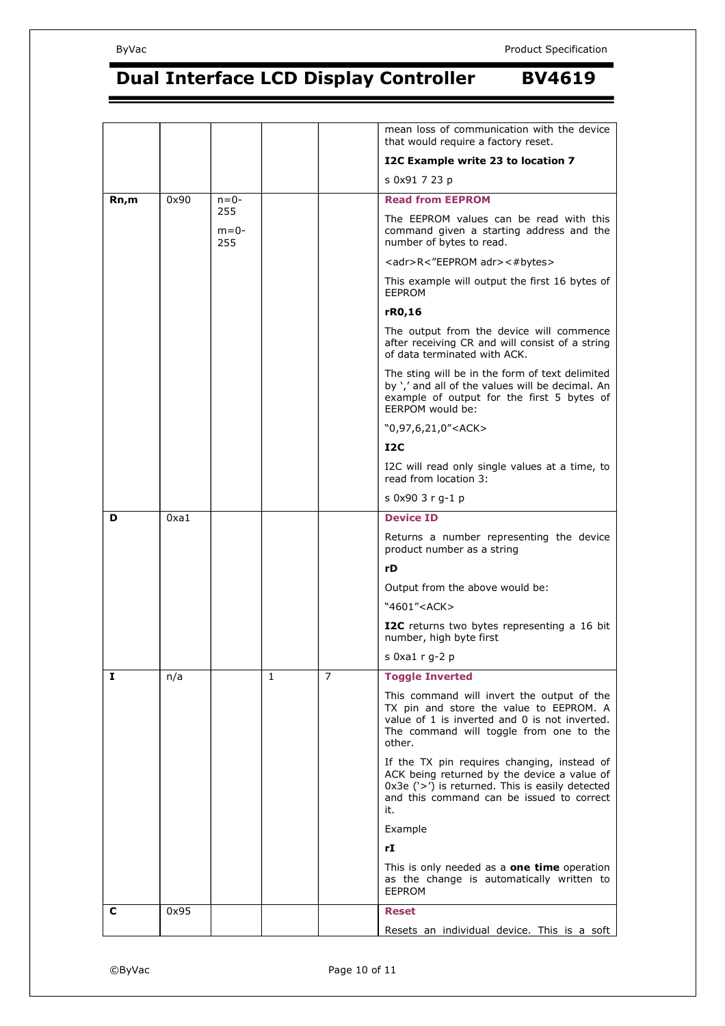|      |      |                        |   |   | mean loss of communication with the device<br>that would require a factory reset.                                                                                                                   |
|------|------|------------------------|---|---|-----------------------------------------------------------------------------------------------------------------------------------------------------------------------------------------------------|
|      |      |                        |   |   | I2C Example write 23 to location 7                                                                                                                                                                  |
|      |      |                        |   |   | s 0x91 7 23 p                                                                                                                                                                                       |
| Rn,m | 0x90 | $n = 0 -$              |   |   | <b>Read from EEPROM</b>                                                                                                                                                                             |
|      |      | 255<br>$m = 0-$<br>255 |   |   | The EEPROM values can be read with this<br>command given a starting address and the<br>number of bytes to read.                                                                                     |
|      |      |                        |   |   | <adr>R&lt;"EEPROM adr&gt;&lt;#bytes&gt;</adr>                                                                                                                                                       |
|      |      |                        |   |   | This example will output the first 16 bytes of<br><b>EEPROM</b>                                                                                                                                     |
|      |      |                        |   |   | rR0,16                                                                                                                                                                                              |
|      |      |                        |   |   | The output from the device will commence<br>after receiving CR and will consist of a string<br>of data terminated with ACK.                                                                         |
|      |      |                        |   |   | The sting will be in the form of text delimited<br>by ',' and all of the values will be decimal. An<br>example of output for the first 5 bytes of<br>EERPOM would be:                               |
|      |      |                        |   |   | "0,97,6,21,0" <ack></ack>                                                                                                                                                                           |
|      |      |                        |   |   | I2C                                                                                                                                                                                                 |
|      |      |                        |   |   | I2C will read only single values at a time, to<br>read from location 3:                                                                                                                             |
|      |      |                        |   |   | s 0x90 3 r g-1 p                                                                                                                                                                                    |
| D    | 0xa1 |                        |   |   | <b>Device ID</b>                                                                                                                                                                                    |
|      |      |                        |   |   | Returns a number representing the device<br>product number as a string                                                                                                                              |
|      |      |                        |   |   | rD                                                                                                                                                                                                  |
|      |      |                        |   |   | Output from the above would be:                                                                                                                                                                     |
|      |      |                        |   |   | "4601" <ack></ack>                                                                                                                                                                                  |
|      |      |                        |   |   | I2C returns two bytes representing a 16 bit<br>number, high byte first                                                                                                                              |
|      |      |                        |   |   | s $0xa1 r q-2 p$                                                                                                                                                                                    |
| 1    | n/a  |                        | 1 | 7 | <b>Toggle Inverted</b>                                                                                                                                                                              |
|      |      |                        |   |   | This command will invert the output of the<br>TX pin and store the value to EEPROM. A<br>value of 1 is inverted and 0 is not inverted.<br>The command will toggle from one to the<br>other.         |
|      |      |                        |   |   | If the TX pin requires changing, instead of<br>ACK being returned by the device a value of<br>$0x3e$ ('>') is returned. This is easily detected<br>and this command can be issued to correct<br>it. |
|      |      |                        |   |   | Example                                                                                                                                                                                             |
|      |      |                        |   |   | rI                                                                                                                                                                                                  |
|      |      |                        |   |   | This is only needed as a <b>one time</b> operation<br>as the change is automatically written to<br><b>EEPROM</b>                                                                                    |
| c    | 0x95 |                        |   |   | <b>Reset</b>                                                                                                                                                                                        |
|      |      |                        |   |   | Resets an individual device. This is a soft                                                                                                                                                         |